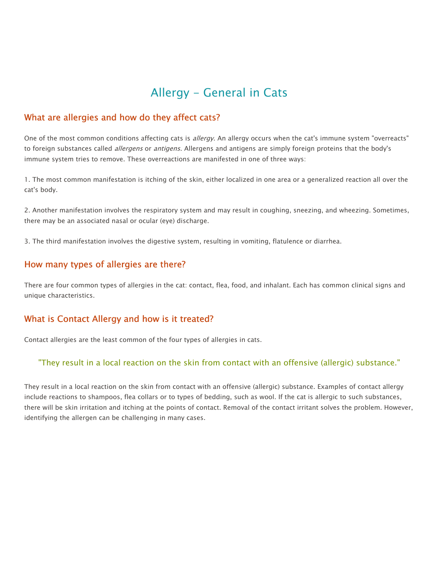# Allergy - General in Cats

## What are allergies and how do they affect cats?

One of the most common conditions affecting cats is allergy. An allergy occurs when the cat's immune system "overreacts" to foreign substances called allergens or antigens. Allergens and antigens are simply foreign proteins that the body's immune system tries to remove. These overreactions are manifested in one of three ways:

1. The most common manifestation is itching of the skin, either localized in one area or a generalized reaction all over the cat's body.

2. Another manifestation involves the respiratory system and may result in coughing, sneezing, and wheezing. Sometimes, there may be an associated nasal or ocular (eye) discharge.

3. The third manifestation involves the digestive system, resulting in vomiting, flatulence or diarrhea.

# How many types of allergies are there?

There are four common types of allergies in the cat: contact, flea, food, and inhalant. Each has common clinical signs and unique characteristics.

### What is Contact Allergy and how is it treated?

Contact allergies are the least common of the four types of allergies in cats.

### "They result in a local reaction on the skin from contact with an offensive (allergic) substance."

They result in a local reaction on the skin from contact with an offensive (allergic) substance. Examples of contact allergy include reactions to shampoos, flea collars or to types of bedding, such as wool. If the cat is allergic to such substances, there will be skin irritation and itching at the points of contact. Removal of the contact irritant solves the problem. However, identifying the allergen can be challenging in many cases.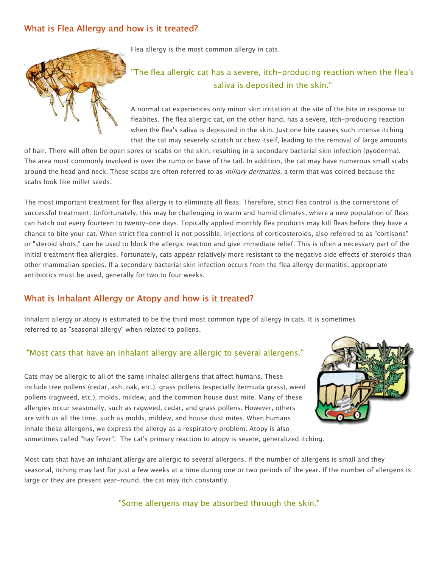# What is Flea Allergy and how is it treated?



Flea allergy is the most common allergy in cats.

# "The flea allergic cat has a severe, itch-producing reaction when the flea's saliva is deposited in the skin."

A normal cat experiences only minor skin irritation at the site of the bite in response to fleabites. The flea allergic cat, on the other hand, has a severe, itch-producing reaction when the flea's saliva is deposited in the skin. Just one bite causes such intense itching that the cat may severely scratch or chew itself, leading to the removal of large amounts

of hair. There will often be open sores or scabs on the skin, resulting in a secondary bacterial skin infection (pyoderma). The area most commonly involved is over the rump or base of the tail. In addition, the cat may have numerous small scabs around the head and neck. These scabs are often referred to as *miliary dermatitis*, a term that was coined because the scabs look like millet seeds.

The most important treatment for flea allergy is to eliminate all fleas. Therefore, strict flea control is the cornerstone of successful treatment. Unfortunately, this may be challenging in warm and humid climates, where a new population of fleas can hatch out every fourteen to twenty-one days. Topically applied monthly flea products may kill fleas before they have a chance to bite your cat. When strict flea control is not possible, injections of corticosteroids, also referred to as "cortisone" or "steroid shots," can be used to block the allergic reaction and give immediate relief. This is often a necessary part of the initial treatment flea allergies. Fortunately, cats appear relatively more resistant to the negative side effects of steroids than other mammalian species. If a secondary bacterial skin infection occurs from the flea allergy dermatitis, appropriate antibiotics must be used, generally for two to four weeks.

# What is Inhalant Allergy or Atopy and how is it treated?

Inhalant allergy or atopy is estimated to be the third most common type of allergy in cats. It is sometimes referred to as "seasonal allergy" when related to pollens.

### "Most cats that have an inhalant allergy are allergic to several allergens."

Cats may be allergic to all of the same inhaled allergens that affect humans. These include tree pollens (cedar, ash, oak, etc.), grass pollens (especially Bermuda grass), weed pollens (ragweed, etc.), molds, mildew, and the common house dust mite. Many of these allergies occur seasonally, such as ragweed, cedar, and grass pollens. However, others are with us all the time, such as molds, mildew, and house dust mites. When humans inhale these allergens, we express the allergy as a respiratory problem. Atopy is also sometimes called "hay fever". The cat's primary reaction to atopy is severe, generalized itching.



Most cats that have an inhalant allergy are allergic to several allergens. If the number of allergens is small and they seasonal, itching may last for just a few weeks at a time during one or two periods of the year. If the number of allergens is large or they are present year-round, the cat may itch constantly.

"Some allergens may be absorbed through the skin."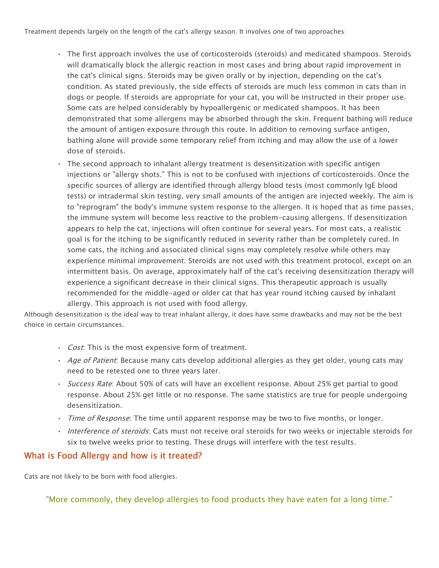Treatment depends largely on the length of the cat's allergy season. It involves one of two approaches:

- The first approach involves the use of corticosteroids (steroids) and medicated shampoos. Steroids will dramatically block the allergic reaction in most cases and bring about rapid improvement in the cat's clinical signs. Steroids may be given orally or by injection, depending on the cat's condition. As stated previously, the side effects of steroids are much less common in cats than in dogs or people. If steroids are appropriate for your cat, you will be instructed in their proper use. Some cats are helped considerably by hypoallergenic or medicated shampoos. It has been demonstrated that some allergens may be absorbed through the skin. Frequent bathing will reduce the amount of antigen exposure through this route. In addition to removing surface antigen, bathing alone will provide some temporary relief from itching and may allow the use of a lower dose of steroids.
- The second approach to inhalant allergy treatment is desensitization with specific antigen injections or "allergy shots." This is not to be confused with injections of corticosteroids. Once the specific sources of allergy are identified through allergy blood tests (most commonly IgE blood tests) or intradermal skin testing, very small amounts of the antigen are injected weekly. The aim is to "reprogram" the body's immune system response to the allergen. It is hoped that as time passes, the immune system will become less reactive to the problem-causing allergens. If desensitization appears to help the cat, injections will often continue for several years. For most cats, a realistic goal is for the itching to be significantly reduced in severity rather than be completely cured. In some cats, the itching and associated clinical signs may completely resolve while others may experience minimal improvement. Steroids are not used with this treatment protocol, except on an intermittent basis. On average, approximately half of the cat's receiving desensitization therapy will experience a significant decrease in their clinical signs. This therapeutic approach is usually recommended for the middle-aged or older cat that has year round itching caused by inhalant allergy. This approach is not used with food allergy.

Although desensitization is the ideal way to treat inhalant allergy, it does have some drawbacks and may not be the best choice in certain circumstances.

- Cost. This is the most expensive form of treatment.
- Age of Patient: Because many cats develop additional allergies as they get older, young cats may need to be retested one to three years later.
- Success Rate: About 50% of cats will have an excellent response. About 25% get partial to good response. About 25% get little or no response. The same statistics are true for people undergoing desensitization.
- *Time of Response*: The time until apparent response may be two to five months, or longer.
- Interference of steroids: Cats must not receive oral steroids for two weeks or injectable steroids for six to twelve weeks prior to testing. These drugs will interfere with the test results.

#### What is Food Allergy and how is it treated?

Cats are not likely to be born with food allergies.

"More commonly, they develop allergies to food products they have eaten for a long time."